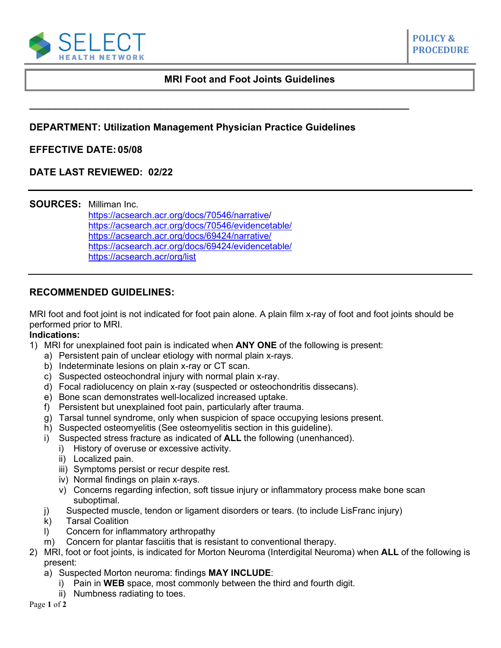

# **MRI Foot and Foot Joints Guidelines**

### **DEPARTMENT: Utilization Management Physician Practice Guidelines**

**\_\_\_\_\_\_\_\_\_\_\_\_\_\_\_\_\_\_\_\_\_\_\_\_\_\_\_\_\_\_\_\_\_\_\_\_\_\_\_\_\_\_\_\_\_\_\_\_\_\_\_\_\_\_\_\_\_\_**

#### **EFFECTIVE DATE: 05/08**

# **DATE LAST REVIEWED: 02/22**

**SOURCES:** Milliman Inc.

[https://acsearch.acr.org/docs/70546/narrative/](https://acsearch.acr.org/docs/70546/narrative) [https://acsearch.acr.org/docs/70546/evidencetable/](https://acsearch.acr.org/list/GetEvidence?TopicId=172&TopicName=Acute%20Trauma%20to%20the%20Foot) <https://acsearch.acr.org/docs/69424/narrative/> [https://acsearch.acr.org/docs/69424/evidencetable/](https://acsearch.acr.org/list/GetEvidence?TopicId=83&TopicName=Chronic%20Foot%20Pain) <https://acsearch.acr/org/list>

#### **RECOMMENDED GUIDELINES:**

MRI foot and foot joint is not indicated for foot pain alone. A plain film x-ray of foot and foot joints should be performed prior to MRI.

#### **Indications:**

- 1) MRI for unexplained foot pain is indicated when **ANY ONE** of the following is present:
	- a) Persistent pain of unclear etiology with normal plain x-rays.
	- b) Indeterminate lesions on plain x-ray or CT scan.
	- c) Suspected osteochondral injury with normal plain x-ray.
	- d) Focal radiolucency on plain x-ray (suspected or osteochondritis dissecans).
	- e) Bone scan demonstrates well-localized increased uptake.
	- f) Persistent but unexplained foot pain, particularly after trauma.
	- g) Tarsal tunnel syndrome, only when suspicion of space occupying lesions present.
	- h) Suspected osteomyelitis (See osteomyelitis section in this guideline).
	- i) Suspected stress fracture as indicated of **ALL** the following (unenhanced).
		- i) History of overuse or excessive activity.
		- ii) Localized pain.
		- iii) Symptoms persist or recur despite rest.
		- iv) Normal findings on plain x-rays.
		- v) Concerns regarding infection, soft tissue injury or inflammatory process make bone scan suboptimal.
	- j) Suspected muscle, tendon or ligament disorders or tears. (to include LisFranc injury)
	- k) Tarsal Coalition
	- l) Concern for inflammatory arthropathy
	- m) Concern for plantar fasciitis that is resistant to conventional therapy.
- 2) MRI, foot or foot joints, is indicated for Morton Neuroma (Interdigital Neuroma) when **ALL** of the following is present:
	- a) Suspected Morton neuroma: findings **MAY INCLUDE**:
		- i) Pain in **WEB** space, most commonly between the third and fourth digit.
		- ii) Numbness radiating to toes.